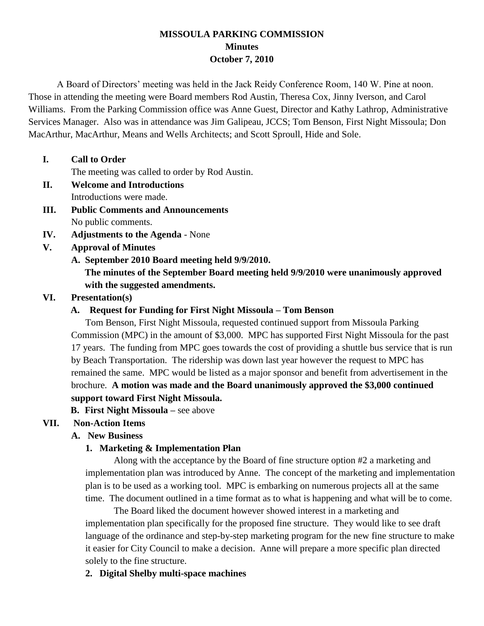## **MISSOULA PARKING COMMISSION Minutes October 7, 2010**

A Board of Directors' meeting was held in the Jack Reidy Conference Room, 140 W. Pine at noon. Those in attending the meeting were Board members Rod Austin, Theresa Cox, Jinny Iverson, and Carol Williams. From the Parking Commission office was Anne Guest, Director and Kathy Lathrop, Administrative Services Manager. Also was in attendance was Jim Galipeau, JCCS; Tom Benson, First Night Missoula; Don MacArthur, MacArthur, Means and Wells Architects; and Scott Sproull, Hide and Sole.

### **I. Call to Order**

The meeting was called to order by Rod Austin.

- **II. Welcome and Introductions** Introductions were made.
- **III. Public Comments and Announcements** No public comments.
- **IV. Adjustments to the Agenda**  None
- **V. Approval of Minutes**
	- **A. September 2010 Board meeting held 9/9/2010. The minutes of the September Board meeting held 9/9/2010 were unanimously approved with the suggested amendments.**

# **VI. Presentation(s)**

## **A. Request for Funding for First Night Missoula – Tom Benson**

Tom Benson, First Night Missoula, requested continued support from Missoula Parking Commission (MPC) in the amount of \$3,000. MPC has supported First Night Missoula for the past 17 years. The funding from MPC goes towards the cost of providing a shuttle bus service that is run by Beach Transportation. The ridership was down last year however the request to MPC has remained the same. MPC would be listed as a major sponsor and benefit from advertisement in the brochure. **A motion was made and the Board unanimously approved the \$3,000 continued support toward First Night Missoula.**

**B. First Night Missoula –** see above

# **VII. Non-Action Items**

## **A. New Business**

# **1. Marketing & Implementation Plan**

Along with the acceptance by the Board of fine structure option #2 a marketing and implementation plan was introduced by Anne. The concept of the marketing and implementation plan is to be used as a working tool. MPC is embarking on numerous projects all at the same time. The document outlined in a time format as to what is happening and what will be to come.

The Board liked the document however showed interest in a marketing and implementation plan specifically for the proposed fine structure. They would like to see draft language of the ordinance and step-by-step marketing program for the new fine structure to make it easier for City Council to make a decision. Anne will prepare a more specific plan directed solely to the fine structure.

## **2. Digital Shelby multi-space machines**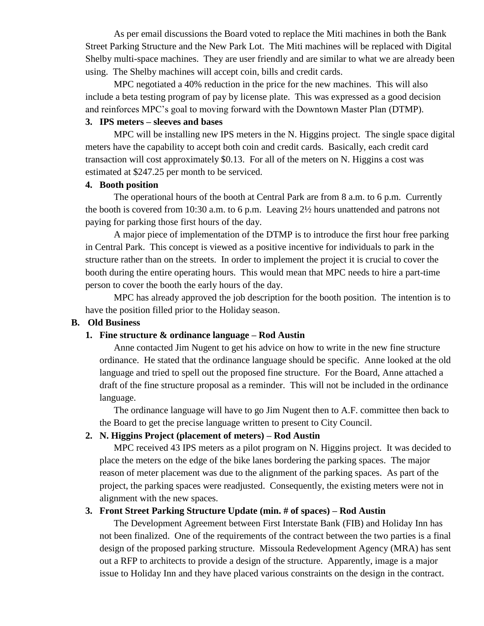As per email discussions the Board voted to replace the Miti machines in both the Bank Street Parking Structure and the New Park Lot. The Miti machines will be replaced with Digital Shelby multi-space machines. They are user friendly and are similar to what we are already been using. The Shelby machines will accept coin, bills and credit cards.

MPC negotiated a 40% reduction in the price for the new machines. This will also include a beta testing program of pay by license plate. This was expressed as a good decision and reinforces MPC's goal to moving forward with the Downtown Master Plan (DTMP).

### **3. IPS meters – sleeves and bases**

MPC will be installing new IPS meters in the N. Higgins project. The single space digital meters have the capability to accept both coin and credit cards. Basically, each credit card transaction will cost approximately \$0.13. For all of the meters on N. Higgins a cost was estimated at \$247.25 per month to be serviced.

#### **4. Booth position**

The operational hours of the booth at Central Park are from 8 a.m. to 6 p.m. Currently the booth is covered from 10:30 a.m. to 6 p.m. Leaving 2½ hours unattended and patrons not paying for parking those first hours of the day.

A major piece of implementation of the DTMP is to introduce the first hour free parking in Central Park. This concept is viewed as a positive incentive for individuals to park in the structure rather than on the streets. In order to implement the project it is crucial to cover the booth during the entire operating hours. This would mean that MPC needs to hire a part-time person to cover the booth the early hours of the day.

MPC has already approved the job description for the booth position. The intention is to have the position filled prior to the Holiday season.

### **B. Old Business**

### **1. Fine structure & ordinance language – Rod Austin**

Anne contacted Jim Nugent to get his advice on how to write in the new fine structure ordinance. He stated that the ordinance language should be specific. Anne looked at the old language and tried to spell out the proposed fine structure. For the Board, Anne attached a draft of the fine structure proposal as a reminder. This will not be included in the ordinance language.

The ordinance language will have to go Jim Nugent then to A.F. committee then back to the Board to get the precise language written to present to City Council.

### **2. N. Higgins Project (placement of meters) – Rod Austin**

MPC received 43 IPS meters as a pilot program on N. Higgins project. It was decided to place the meters on the edge of the bike lanes bordering the parking spaces. The major reason of meter placement was due to the alignment of the parking spaces. As part of the project, the parking spaces were readjusted. Consequently, the existing meters were not in alignment with the new spaces.

## **3. Front Street Parking Structure Update (min. # of spaces) – Rod Austin**

The Development Agreement between First Interstate Bank (FIB) and Holiday Inn has not been finalized. One of the requirements of the contract between the two parties is a final design of the proposed parking structure. Missoula Redevelopment Agency (MRA) has sent out a RFP to architects to provide a design of the structure. Apparently, image is a major issue to Holiday Inn and they have placed various constraints on the design in the contract.